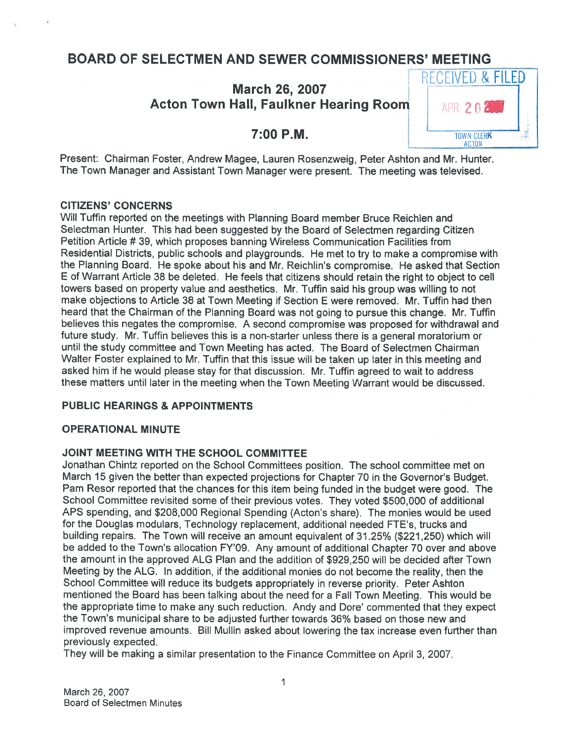# BOARD OF SELECTMEN AND SEWER COMMISSIONERS' MEETING

# March 26, 2007 Acton Town Hall, Faulkner Hearing Room Farm 2 n 2



Present: Chairman Foster, Andrew Magee, Lauren Rosenzweig, Peter Ashton and Mr. Hunter. The Town Manager and Assistant Town Manager were present. The meeting was televised.

### CITIZENS' CONCERNS

Will Tuffin reported on the meetings with Planning Board member Bruce Reichlen and Selectman Hunter. This had been suggested by the Board of Selectmen regarding Citizen Petition Article # 39, which proposes banning Wireless Communication Facilities from Residential Districts, public schools and <sup>p</sup>laygrounds. He met to try to make <sup>a</sup> compromise with the Planning Board. He spoke about his and Mr. Reichlin's compromise. He asked that Section <sup>E</sup> of Warrant Article 38 be deleted. He feels that citizens should retain the right to object to cell towers based on property value and aesthetics. Mr. Tuffin said his group was willing to not make objections to Article 38 at Town Meeting if Section <sup>E</sup> were removed. Mr. Tuffin had then heard that the Chairman of the Planning Board was not going to pursue this change. Mr. Tuffin believes this negates the compromise. <sup>A</sup> second compromise was propose<sup>d</sup> for withdrawal and future study. Mr. Tuffin believes this is <sup>a</sup> non-starter unless there is <sup>a</sup> genera<sup>l</sup> moratorium or until the study committee and Town Meeting has acted. The Board of Selectmen Chairman Walter Foster explained to Mr. Tuffin that this issue will be taken up later in this meeting and asked him if he would <sup>p</sup>lease stay for that discussion. Mr. Tuffin agree<sup>d</sup> to wait to address these matters until later in the meeting when the Town Meeting Warrant would be discussed.

### PUBLIC HEARINGS & APPOINTMENTS

### OPERATIONAL MINUTE

### JOINT MEETING WITH THE SCHOOL COMMITTEE

Jonathan Chintz reported on the School Committees position. The school committee met on March 15 <sup>g</sup>iven the better than expected projections for Chapter 70 in the Governor's Budget. Pam Resor reported that the chances for this item being funded in the budget were good. The School Committee revisited some of their previous votes. They voted \$500,000 of additional APS spending, and \$208,000 Regional Spending (Acton's share). The monies would be used for the Douglas modulars, Technology replacement, additional needed FTE's, trucks and building repairs. The Town will receive an amount equivalent of 31.25% (\$221,250) which will be added to the Town's allocation FY'09. Any amount of additional Chapter <sup>70</sup> over and above the amount in the approved ALG Plan and the addition of \$929,250 will be decided after Town Meeting by the ALG. In addition, if the additional monies do not become the reality, then the School Committee will reduce its budgets appropriately in reverse priority. Peter Ashton mentioned the Board has been talking about the need for <sup>a</sup> Fall Town Meeting. This would be the appropriate time to make any such reduction. Andy and Dore' commented that they expec<sup>t</sup> the Town's municipal share to be adjusted further towards 36% based on those new and improved revenue amounts. Bill Mullin asked about lowering the tax increase even further than previously expected.

They will be making <sup>a</sup> similar presentation to the Finance Committee on April 3, 2007.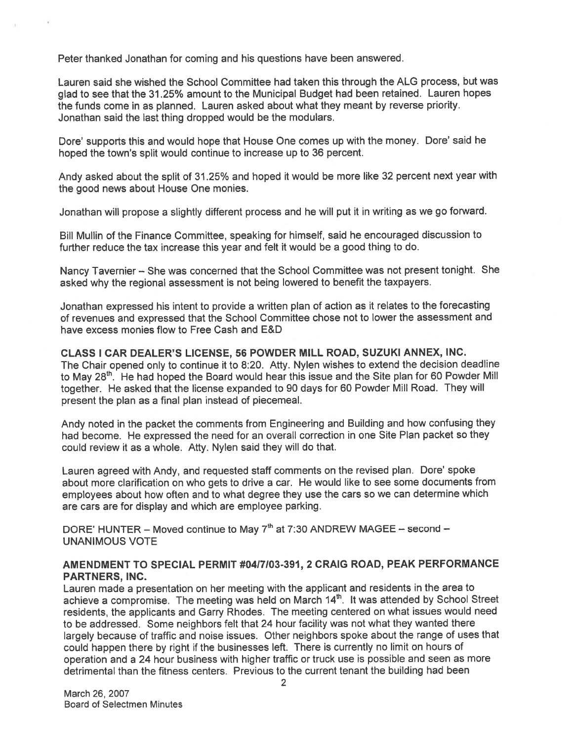Peter thanked Jonathan for coming and his questions have been answered.

Lauren said she wished the School Committee had taken this through the ALG process, but was <sup>g</sup>lad to see that the 31.25% amount to the Municipal Budget had been retained. Lauren hopes the funds come in as <sup>p</sup>lanned. Lauren asked about what they meant by reverse priority. Jonathan said the last thing dropped would be the modulars.

Dore' supports this and would hope that House One comes up with the money. Dore' said he hoped the town's split would continue to increase up to 36 percent.

Andy asked about the split of 31.25% and hoped it would be more like <sup>32</sup> percen<sup>t</sup> next year with the good news about House One monies.

Jonathan will propose <sup>a</sup> slightly different process and he will pu<sup>t</sup> it in writing as we go forward.

Bill Mullin of the Finance Committee, speaking for himself, said he encouraged discussion to further reduce the tax increase this year and felt it would be <sup>a</sup> good thing to do.

Nancy Tavernier — She was concerned that the School Committee was not presen<sup>t</sup> tonight. She asked why the regional assessment is not being lowered to benefit the taxpayers.

Jonathan expresse<sup>d</sup> his intent to provide <sup>a</sup> written <sup>p</sup>lan of action as it relates to the forecasting of revenues and expresse<sup>d</sup> that the School Committee chose not to lower the assessment and have excess monies flow to Free Cash and E&D

CLASS I CAR DEALER'S LICENSE, 56 POWDER MILL ROAD, SUZUKI ANNEX, INC. The Chair opene<sup>d</sup> only to continue it to 8:20. Atty. Nylen wishes to extend the decision deadline to May 28<sup>th</sup>. He had hoped the Board would hear this issue and the Site plan for 60 Powder Mill together. He asked that the license expanded to <sup>90</sup> days for <sup>60</sup> Powder Mill Road. They will presen<sup>t</sup> the plan as <sup>a</sup> final plan instead of piecemeal.

Andy noted in the packet the comments from Engineering and Building and how confusing they had become. He expresse<sup>d</sup> the need for an overall correction in one Site Plan packet so they could review it as <sup>a</sup> whole. Atty. Nylen said they will do that.

Lauren agree<sup>d</sup> with Andy, and requested staff comments on the revised <sup>p</sup>lan. Dore' spoke about more clarification on who gets to drive <sup>a</sup> car. He would like to see some documents from employees about how often and to what degree they use the cars so we can determine which are cars are for display and which are employee parking.

DORE' HUNTER – Moved continue to May  $7<sup>th</sup>$  at 7:30 ANDREW MAGEE – second – UNANIMOUS VOTE

### AMENDMENT TO SPECIAL PERMIT #0417103-391, 2 CRAIG ROAD, PEAK PERFORMANCE PARTNERS, INC.

Lauren made <sup>a</sup> presentation on her meeting with the applicant and residents in the area to achieve a compromise. The meeting was held on March 14<sup>th</sup>. It was attended by School Street residents, the applicants and Garry Rhodes. The meeting centered on what issues would need to be addressed. Some neighbors felt that <sup>24</sup> hour facility was not what they wanted there largely because of traffic and noise issues. Other neighbors spoke about the range of uses that could happen there by right if the businesses left. There is currently no limit on hours of operation and <sup>a</sup> <sup>24</sup> hour business with higher traffic or truck use is possible and seen as more detrimental than the fitness centers. Previous to the current tenant the building had been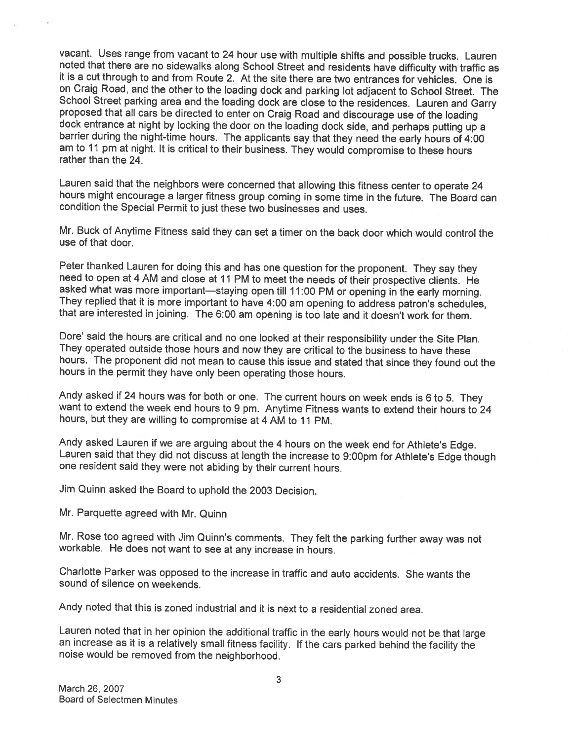vacant. Uses range from vacant to 24 hour use with multiple shifts and possible trucks. Lauren<br>noted that there are no sidewalks along School Street and residents have difficulty with traffic as<br>it is a cut through to and School Street parking area and the loading dock are close to the residences. Lauren and Garry<br>proposed that all cars be directed to enter on Craig Road and discourage use of the loading<br>dock entrance at night by locking th am to <sup>11</sup> pm at night. It is critical to their business. They would compromise to these hours rather than the 24.

Lauren said that the neighbors were concerned that allowing this fitness center to operate <sup>24</sup> hours might encourage <sup>a</sup> larger fitness group coming in some time in the future. The Board can condition the Special Permit to just these two businesses and uses.

Mr. Buck of Anytime Fitness said they can set <sup>a</sup> timer on the back door which would control the use of that door.

Peter thanked Lauren for doing this and has one question for the proponent. They say they<br>need to open at 4 AM and close at 11 PM to meet the needs of their prospective clients. He<br>asked what was more important—staying ope

Dote' said the hours are critical and no one looked at their responsibility under the Site Plan. They operated outside those hours and now they are critical to the business to have these hours. The proponent did not mean to cause this issue and stated that since they found out the hours in the permit they have only been operating those hours.

Andy asked if <sup>24</sup> hours was for both or one. The current hours on week ends is <sup>6</sup> to 5. They want to extend the week end hours to <sup>9</sup> pm. Anytime Fitness wants to extend their hours to <sup>24</sup> hours, but they are willing to compromise at <sup>4</sup> AM to <sup>11</sup> PM.

Andy asked Lauren if we are arguing about the <sup>4</sup> hours on the week end for Athlete's Edge. Lauren said that they did not discuss at length the increase to 9:00pm for Athlete's Edge though one resident said they were not abiding by their current hours.

Jim Quinn asked the Board to uphold the <sup>2003</sup> Decision.

Mr. Parquette agreed with Mr. Quinn

Mr. Rose too agreed with Jim Quinn's comments. They felt the parking further away was not workable. He does not want to see at any increase in hours.

Charlotte Parker was opposed to the increase in traffic and auto accidents. She wants the sound of silence on weekends.

Andy noted that this is zoned industrial and it is next to <sup>a</sup> residential zoned area.

Lauren noted that in her opinion the additional traffic in the early hours would not be that large an increase as it is a relatively small fitness facility. If the cars parked behind the facility the noise would be removed from the neighborhood.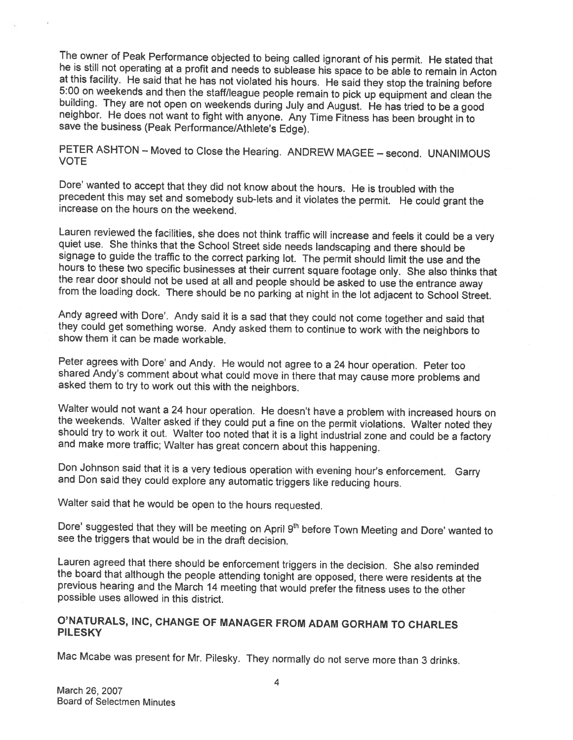The owner of Peak Performance objected to being called ignorant of his permit. He stated that<br>he is still not operating at a profit and needs to sublease his space to be able to remain in Acton<br>at this facility. He said th save the business (Peak Performance/Athlete's Edge).

PETER ASHTON — Moved to Close the Hearing. ANDREW MAGEE — second. UNANIMOUS VOTE

Dote' wanted to accept that they did not know about the hours. He is troubled with the precedent this may set and somebody sub-lets and it violates the permit. He could grant the increase on the hours on the weekend.

Lauren reviewed the facilities, she does not think traffic will increase and feels it could be a very<br>quiet use. She thinks that the School Street side needs landscaping and there should be<br>signage to guide the traffic to

Andy agreed with Dore'. Andy said it is a sad that they could not come together and said that they could get something worse. Andy asked them to continue to work with the neighbors to show them it can be made workable.

Peter agrees with Dore' and Andy. He would not agree to a 24 hour operation. Peter too shared Andy's comment about what could move in there that may cause more problems and asked them to try to work out this with the neigh

Walter would not want a 24 hour operation. He doesn't have a problem with increased hours on the weekends. Walter asked if they could put a fine on the permit violations. Walter noted they should try to work it out. Walter

Don Johnson said that it is <sup>a</sup> very tedious operation with evening hour's enforcement. Garry and Don said they could explore any automatic triggers like reducing hours.

Walter said that he would be open to the hours requested.

Dore' suggested that they will be meeting on April 9<sup>th</sup> before Town Meeting and Dore' wanted to see the triggers that would be in the draft decision.

Lauren agreed that there should be enforcement triggers in the decision. She also reminded the board that although the people attending tonight are opposed, there were residents at the previous hearing and the March 14 mee

### O'NATURALS, INC, CHANGE OF MANAGER FROM ADAM GORHAM TO CHARLES **PILESKY**

Mac Mcabe was present for Mr. Pilesky. They normally do not serve more than <sup>3</sup> drinks.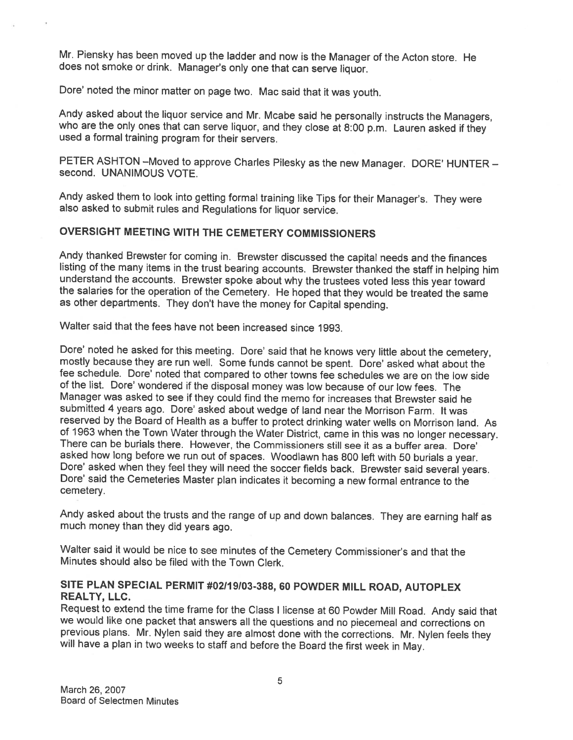Mr. Piensky has been moved up the ladder and now is the Manager of the Acton store. He does not smoke or drink. Manager's only one that can serve liquor.

Dore' noted the minor matter on page two. Mac said that it was youth.

Andy asked about the liquor service and Mr. Mcabe said he personally instructs the Managers, who are the only ones that can serve liquor, and they close at 8:00 p.m. Lauren asked if they used a formal training program for

PETER ASHTON —Moved to approve Charles Pilesky as the new Manager. DORE' HUNTER — second. UNANIMOUS VOTE.

Andy asked them to look into getting formal training like Tips for their Manager's. They were also asked to submit rules and Regulations for liquor service.

# OVERSIGHT MEETING WITH THE CEMETERY COMMISSIONERS

Andy thanked Brewster for coming in. Brewster discussed the capital needs and the finances<br>listing of the many items in the trust bearing accounts. Brewster thanked the staff in helping him<br>understand the accounts. Brewste as other departments. They don't have the money for Capital spending.

Walter said that the fees have not been increased since 1993.

Dore' noted he asked for this meeting. Dore' said that he knows very little about the cemetery, mostly because they are run well. Some funds cannot be spent. Dore' asked what about the fee schedule. Dore' noted that compar of the list. Dore' wondered if the disposal money was low because of our low fees. The Manager was asked to see if they could find the memo for increases that Brewster said he submitted 4 years ago. Dore' asked about wedge of land near the Morrison Farm. It was<br>reserved by the Board of Health as a buffer to protect drinking water wells on Morrison land. As of 1963 when the Town Water through the Water District, came in this was no longer necessary.<br>There can be burials there. However, the Commissioners still see it as a buffer area. Dore' asked how long before we run out of spaces. Woodlawn has 800 left with 50 burials a year.<br>Dore' asked when they feel they will need the soccer fields back. Brewster said several years.<br>Dore' said the Cemeteries Master plan cemetery.

Andy asked about the trusts and the range of up and down balances. They are earning half as much money than they did years ago.

Walter said it would be nice to see minutes of the Cemetery Commissioner's and that the Minutes should also be filed with the Town Clerk.

### SITE PLAN SPECIAL PERMIT #02119103-388, <sup>60</sup> POWDER MILL ROAD, AUTOPLEX REALTY, LLC.

Request to extend the time frame for the Class I license at 60 Powder Mill Road. Andy said that we would like one packet that answers all the questions and no piecemeal and corrections on previous plans. Mr. Nylen said they are almost done with the corrections. Mr. Nylen feels they will have a plan in two weeks to staff and before the Board the first week in May.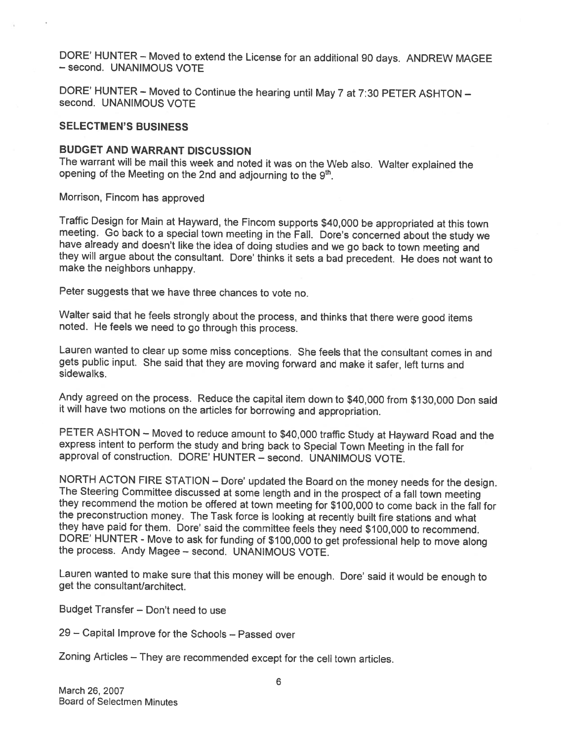DORE' HUNTER — Moved to extend the License for an additional <sup>90</sup> days. ANDREW MAGEE — second. UNANIMOUS VOTE

DORE' HUNTER — Moved to Continue the hearing until May <sup>7</sup> at 7:30 PETER ASHTON — second. UNANIMOUS VOTE

### SELECTMEN'S BUSINESS

### BUDGET AND WARRANT DISCUSSION

The warrant will be mail this week and noted it was on the Web also. Walter explained the opening of the Meeting on the 2nd and adjourning to the 9<sup>th</sup>.

Morrison, Fincom has approved

Traffic Design for Main at Hayward, the Fincom supports \$40,000 be appropriated at this town<br>meeting. Go back to a special town meeting in the Fall. Dore's concerned about the study we<br>have already and doesn't like the ide

Peter suggests that we have three chances to vote no.

Walter said that he feels strongly about the process, and thinks that there were good items noted. He feels we need to go through this process.

Lauren wanted to clear up some miss conceptions. She feels that the consultant comes in and gets public input. She said that they are moving forward and make it safer, left turns and sidewalks.

Andy agreed on the process. Reduce the capital item down to \$40,000 from \$130,000 Don said it will have two motions on the articles for borrowing and appropriation.

PETER ASHTON — Moved to reduce amount to \$40,000 traffic Study at Hayward Road and the express intent to perform the study and bring back to Special Town Meeting in the fall for approval of construction. DORE' HUNTER — second. UNANIMOUS VOTE.

NORTH ACTON FIRE STATION – Dore' updated the Board on the money needs for the design.<br>The Steering Committee discussed at some length and in the prospect of a fall town meeting<br>they recommend the motion be offered at town

Lauren wanted to make sure that this money will be enough. Dore' said it would be enoug<sup>h</sup> to get the consultant/architect.

Budget Transfer — Don't need to use

29 — Capital Improve for the Schools — Passed over

Zoning Articles — They are recommended except for the cell town articles.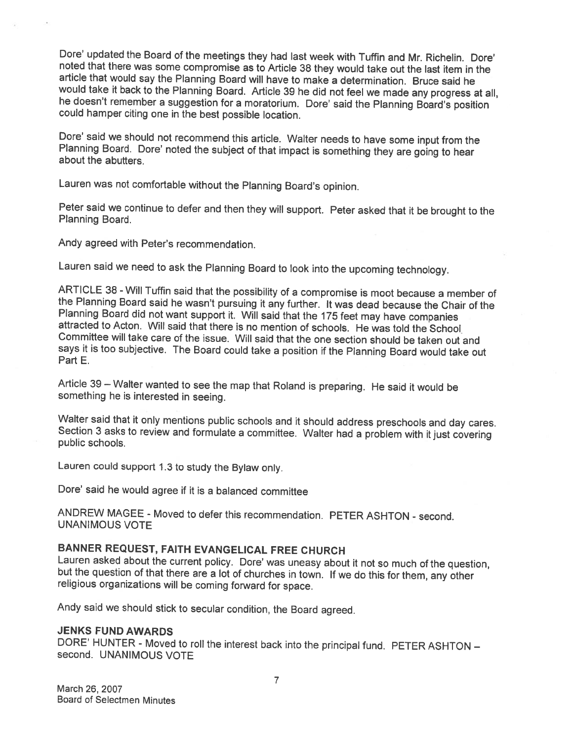Dore' updated the Board of the meetings they had last week with Tuffin and Mr. Richelin. Dore' noted that there was some compromise as to Article 38 they would take out the last item in the article that would say the Plann he doesn't remember a suggestion for a moratorium. Dore' said the Planning Board's position could hamper citing one in the best possible location.

Dore' said we should not recommend this article. Walter needs to have some input from the Planning Board. Dore' noted the subject of that impact is something they are going to hear about the abutters.

Lauren was not comfortable without the Planning Board's opinion.

Peter said we continue to defer and then they will support. Peter asked that it be brought to the Planning Board.

Andy agreed with Peter's recommendation.

Lauren said we need to ask the Planning Board to look into the upcoming technology.

ARTICLE 38 - Will Tuffin said that the possibility of a compromise is moot because a member of the Planning Board said he wasn't pursuing it any further. It was dead because the Chair of the Planning Board did not want sup Committee will take care of the issue. Will said that the one section should be taken out and says it is too subjective. The Board could take <sup>a</sup> position if the Planning Board would take out Part E.

Article <sup>39</sup> — Walter wanted to see the map that Roland is preparing. He said it would be something he is interested in seeing.

Walter said that it only mentions public schools and it should address preschools and day cares. Section <sup>3</sup> asks to review and formulate <sup>a</sup> committee. Walter had <sup>a</sup> problem with it just covering public schools.

Lauren could support 1.3 to study the Bylaw only.

Dote' said he would agree if it is <sup>a</sup> balanced committee

ANDREW MAGEE - Moved to defer this recommendation. PETER ASHTON - second. UNANIMOUS VOTE

BANNER REQUEST, FAITH EVANGELICAL FREE CHURCH<br>Lauren asked about the current policy. Dore' was uneasy about it not so much of the question, but the question of that there are a lot of churches in town. If we do this for them, any other religious organizations will be coming forward for space.

Andy said we should stick to secular condition, the Board agreed.

### JENKS FUND AWARDS

DORE' HUNTER - Moved to roll the interest back into the principal fund. PETER ASHTON — second. UNANIMOUS VOTE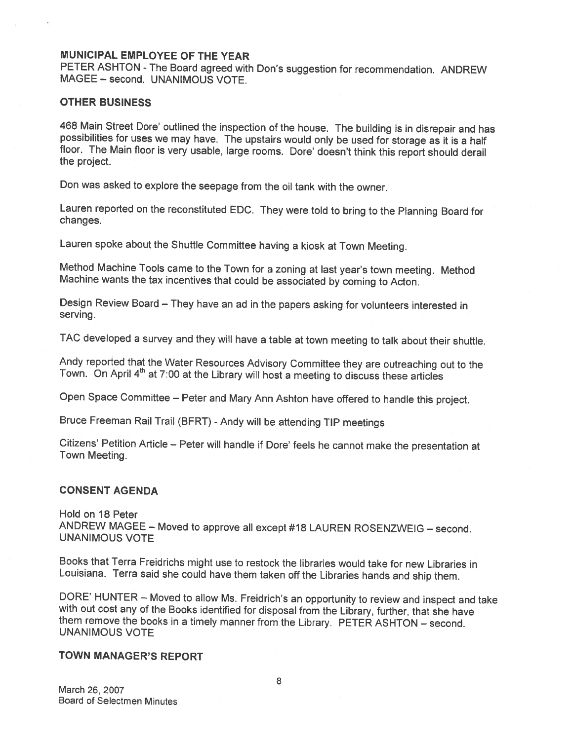### MUNICIPAL EMPLOYEE OF THE YEAR

PETER ASHTON - The Board agreed with Don's suggestion for recommendation. ANDREW MAGEE - second. UNANIMOUS VOTE.

### OTHER BUSINESS

468 Main Street Dore' outlined the inspection of the house. The building is in disrepair and has possibilities for uses we may have. The upstairs would only be used for storage as it is a half floor. The Main floor is very

Don was asked to explore the seepage from the oil tank with the owner.

Lauren reported on the reconstituted EDC. They were told to bring to the Planning Board for changes.

Lauren spoke about the Shuffle Committee having <sup>a</sup> kiosk at Town Meeting.

Method Machine Tools came to the Town for <sup>a</sup> zoning at last year's town meeting. Method Machine wants the tax incentives that could be associated by coming to Acton.

Design Review Board — They have an ad in the papers asking for volunteers interested in serving.

TAC developed <sup>a</sup> survey and they will have <sup>a</sup> table at town meeting to talk about their shuttle.

Andy reported that the Water Resources Advisory Committee they are outreaching out to the Town. On April 4<sup>th</sup> at 7:00 at the Library will host a meeting to discuss these articles

Open Space Committee — Peter and Mary Ann Ashton have offered to handle this project.

Bruce Freeman Rail Trail (BFRT) - Andy will be attending TIP meetings

Citizens' Petition Article – Peter will handle if Dore' feels he cannot make the presentation at Town Meeting.

### CONSENT AGENDA

Hold on 18 Peter ANDREW MAGEE — Moved to approve all except #18 LAUREN ROSENZWEIG — second. UNANIMOUS VOTE

Books that Terra Freidrichs might use to restock the libraries would take for new Libraries in Louisiana. Terra said she could have them taken off the Libraries hands and ship them.

DORE' HUNTER – Moved to allow Ms. Freidrich's an opportunity to review and inspect and take<br>with out cost any of the Books identified for disposal from the Library, further, that she have<br>them remove the books in a timely

### TOWN MANAGER'S REPORT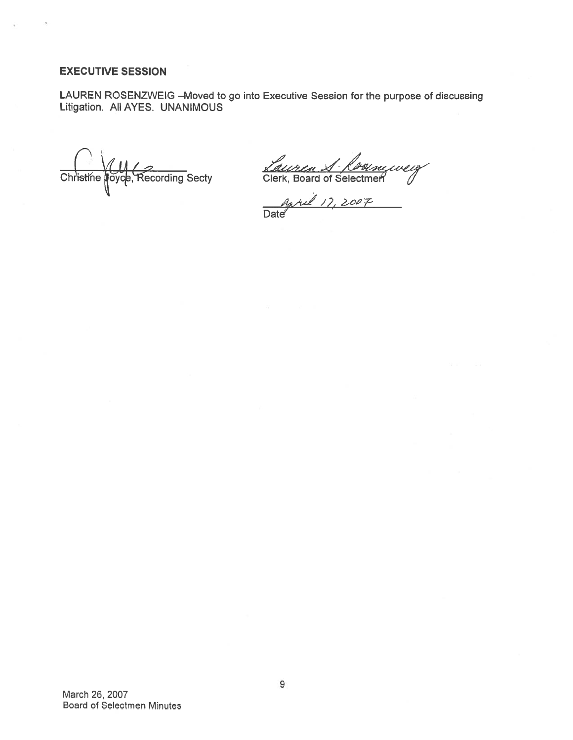### EXECUTIVE SESSION

LAUREN ROSENZWEIG —Moved to go into Executive Session for the purpose of discussing Litigation. All AYES. UNANIMOUS

Christine Noyce, Recording Secty Clerk, Board of Selectmen *(/*

17, Date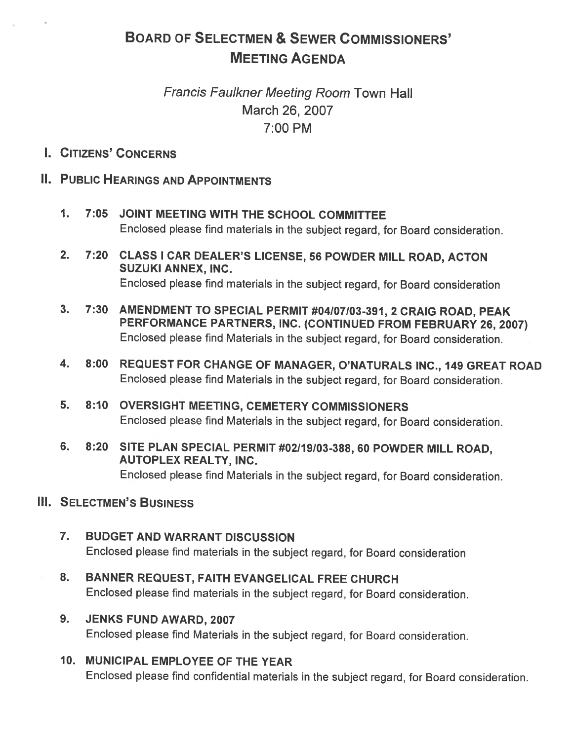# BOARD OF SELECTMEN & SEWER COMMISSIONERS' MEETING AGENDA

# Francis Faulkner Meeting Room Town Hall March 26, 2007 7:00 PM

I. CITIZENS' CONCERNS

# II. PUBLIC HEARINGS AND APPOINTMENTS

- 1. 7:05 JOINT MEETING WITH THE SCHOOL COMMITTEE Enclosed <sup>p</sup>lease find materials in the subject regard, for Board consideration.
- 2. 7:20 CLASS <sup>I</sup> CAR DEALER'S LICENSE, <sup>56</sup> POWDER MILL ROAD, ACTON SUZUKI ANNEX, INC. Enclosed <sup>p</sup>lease find materials in the subject regard, for Board consideration
- 3. 7:30 AMENDMENT TO SPECIAL PERMIT #04107103-391, <sup>2</sup> CRAIG ROAD, PEAK PERFORMANCE PARTNERS, INC. (CONTINUED FROM FEBRUARY 26, 2007) Enclosed <sup>p</sup>lease find Materials in the subject regard, for Board consideration.
- 4. 8:00 REQUEST FOR CHANGE OF MANAGER, O'NATURALS INC., <sup>149</sup> GREAT ROAD Enclosed <sup>p</sup>lease find Materials in the subject regard, for Board consideration.
- 5. 8:10 OVERSIGHT MEETING, CEMETERY COMMISSIONERS Enclosed <sup>p</sup>lease find Materials in the subject regard, for Board consideration.
- 6. 8:20 SITE PLAN SPECIAL PERMIT #02119103-388, <sup>60</sup> POWDER MILL ROAD, AUTOPLEX REALTY, INC. Enclosed <sup>p</sup>lease find Materials in the subject regard, for Board consideration.

# **III. SELECTMEN'S BUSINESS**

- 7. BUDGET AND WARRANT DISCUSSION Enclosed <sup>p</sup>lease find materials in the subject regard, for Board consideration
- 8. BANNER REQUEST, FAITH EVANGELICAL FREE CHURCH Enclosed <sup>p</sup>lease find materials in the subject regard, for Board consideration.
- 9. JENKS FUND AWARD, 2007 Enclosed <sup>p</sup>lease find Materials in the subject regard, for Board consideration.
- 10. MUNICIPAL EMPLOYEE OF THE YEAR

Enclosed <sup>p</sup>lease find confidential materials in the subject regard, for Board consideration.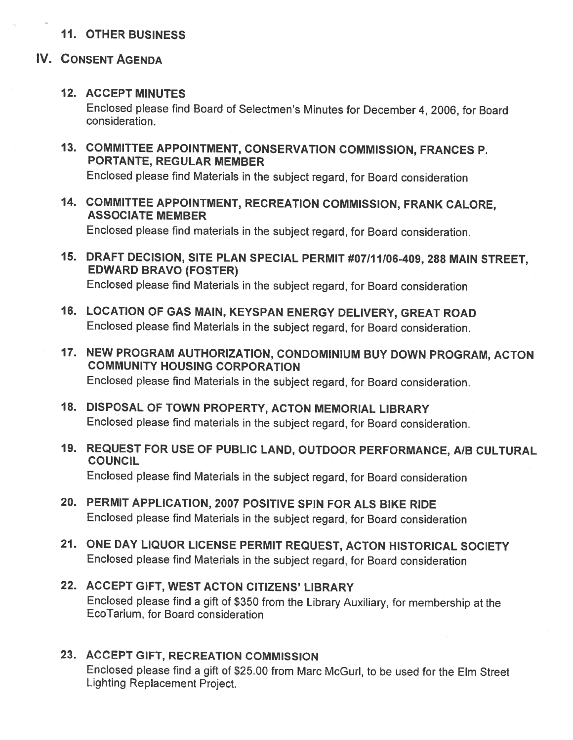# 11. OTHER BUSINESS

# IV. CONSENT AGENDA

# 12. ACCEPT MINUTES

Enclosed <sup>p</sup>lease find Board of Selectmen's Minutes for December 4, 2006, for Board consideration.

13. COMMITTEE APPOINTMENT, CONSERVATION COMMISSION, FRANCES P. PORTANTE, REGULAR MEMBER

Enclosed <sup>p</sup>lease find Materials in the subject regard, for Board consideration

14. COMMITTEE APPOINTMENT, RECREATION COMMISSION, FRANK CALORE, ASSOCIATE MEMBER

Enclosed <sup>p</sup>lease find materials in the subject regard, for Board consideration.

- 15. DRAFT DECISION, SITE PLAN SPECIAL PERMIT #07111106-409, <sup>288</sup> MAIN STREET, EDWARD BRAVO (FOSTER) Enclosed <sup>p</sup>lease find Materials in the subject regard, for Board consideration
- 16. LOCATION OF GAS MAIN, KEYSPAN ENERGY DELIVERY, GREAT ROAD Enclosed <sup>p</sup>lease find Materials in the subject regard, for Board consideration.
- 17. NEW PROGRAM AUTHORIZATION, CONDOMINIUM BUY DOWN PROGRAM, ACTON COMMUNITY HOUSING CORPORATION Enclosed <sup>p</sup>lease find Materials in the subject regard, for Board consideration.
- 18. DISPOSAL OF TOWN PROPERTY, ACTON MEMORIAL LIBRARY Enclosed <sup>p</sup>lease find materials in the subject regard, for Board consideration.
- 19. REQUEST FOR USE OF PUBLIC LAND, OUTDOOR PERFORMANCE, AIB CULTURAL **COUNCIL** Enclosed <sup>p</sup>lease find Materials in the subject regard, for Board consideration
- 20. PERMIT APPLICATION, 2007 POSITIVE SPIN FOR ALS BIKE RIDE Enclosed <sup>p</sup>lease find Materials in the subject regard, for Board consideration
- 21. ONE DAY LIQUOR LICENSE PERMIT REQUEST, ACTON HISTORICAL SOCIETY Enclosed <sup>p</sup>lease find Materials in the subject regard, for Board consideration
- 22. ACCEPT GIFT, WEST ACTON CITIZENS' LIBRARY Enclosed <sup>p</sup>lease find <sup>a</sup> <sup>g</sup>ift of \$350 from the Library Auxiliary, for membership at the EcoTarium, for Board consideration

# 23. ACCEPT GIFT, RECREATION COMMISSION

Enclosed <sup>p</sup>lease find <sup>a</sup> <sup>g</sup>ift of \$25.00 from Marc McGurl, to be used for the Elm Street Lighting Replacement Project.